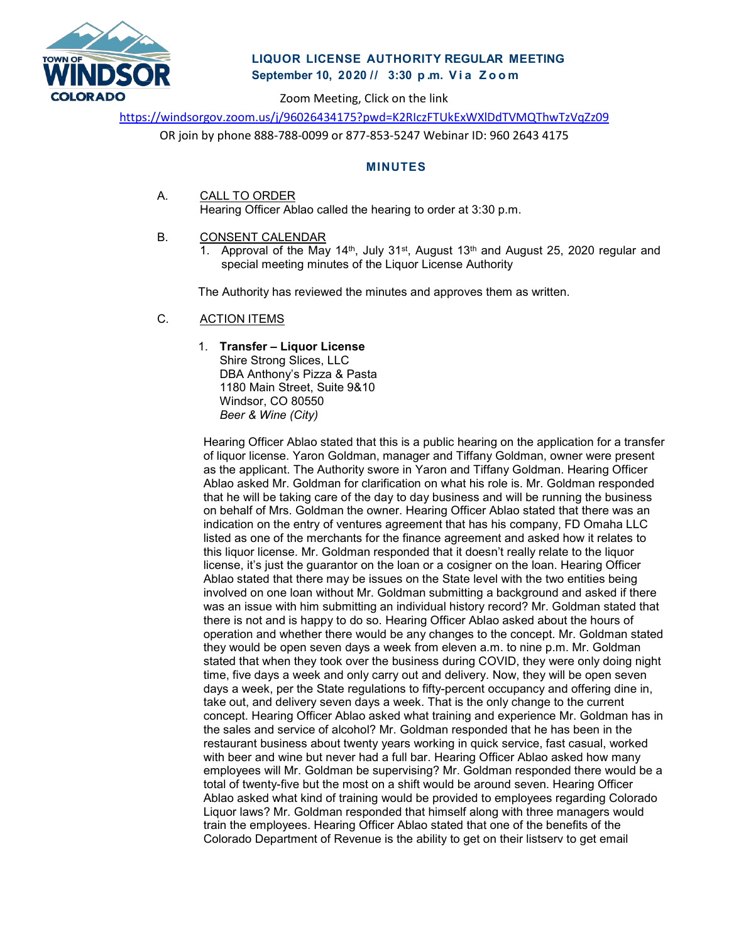

# **LIQUOR LICENSE AUTHORITY REGULAR MEETING September 10, 2020 // 3:30 p . m. Via Zoom**

Zoom Meeting, Click on the link

<https://windsorgov.zoom.us/j/96026434175?pwd=K2RIczFTUkExWXlDdTVMQThwTzVqZz09>

OR join by phone 888-788-0099 or 877-853-5247 Webinar ID: 960 2643 4175

## **MINUTES**

A. CALL TO ORDER Hearing Officer Ablao called the hearing to order at 3:30 p.m.

### B. CONSENT CALENDAR

1. Approval of the May 14<sup>th</sup>, July 31<sup>st</sup>, August 13<sup>th</sup> and August 25, 2020 regular and special meeting minutes of the Liquor License Authority

The Authority has reviewed the minutes and approves them as written.

### C. ACTION ITEMS

1. **Transfer – Liquor License**

Shire Strong Slices, LLC DBA Anthony's Pizza & Pasta 1180 Main Street, Suite 9&10 Windsor, CO 80550 *Beer & Wine (City)*

Hearing Officer Ablao stated that this is a public hearing on the application for a transfer of liquor license. Yaron Goldman, manager and Tiffany Goldman, owner were present as the applicant. The Authority swore in Yaron and Tiffany Goldman. Hearing Officer Ablao asked Mr. Goldman for clarification on what his role is. Mr. Goldman responded that he will be taking care of the day to day business and will be running the business on behalf of Mrs. Goldman the owner. Hearing Officer Ablao stated that there was an indication on the entry of ventures agreement that has his company, FD Omaha LLC listed as one of the merchants for the finance agreement and asked how it relates to this liquor license. Mr. Goldman responded that it doesn't really relate to the liquor license, it's just the guarantor on the loan or a cosigner on the loan. Hearing Officer Ablao stated that there may be issues on the State level with the two entities being involved on one loan without Mr. Goldman submitting a background and asked if there was an issue with him submitting an individual history record? Mr. Goldman stated that there is not and is happy to do so. Hearing Officer Ablao asked about the hours of operation and whether there would be any changes to the concept. Mr. Goldman stated they would be open seven days a week from eleven a.m. to nine p.m. Mr. Goldman stated that when they took over the business during COVID, they were only doing night time, five days a week and only carry out and delivery. Now, they will be open seven days a week, per the State regulations to fifty-percent occupancy and offering dine in, take out, and delivery seven days a week. That is the only change to the current concept. Hearing Officer Ablao asked what training and experience Mr. Goldman has in the sales and service of alcohol? Mr. Goldman responded that he has been in the restaurant business about twenty years working in quick service, fast casual, worked with beer and wine but never had a full bar. Hearing Officer Ablao asked how many employees will Mr. Goldman be supervising? Mr. Goldman responded there would be a total of twenty-five but the most on a shift would be around seven. Hearing Officer Ablao asked what kind of training would be provided to employees regarding Colorado Liquor laws? Mr. Goldman responded that himself along with three managers would train the employees. Hearing Officer Ablao stated that one of the benefits of the Colorado Department of Revenue is the ability to get on their listserv to get email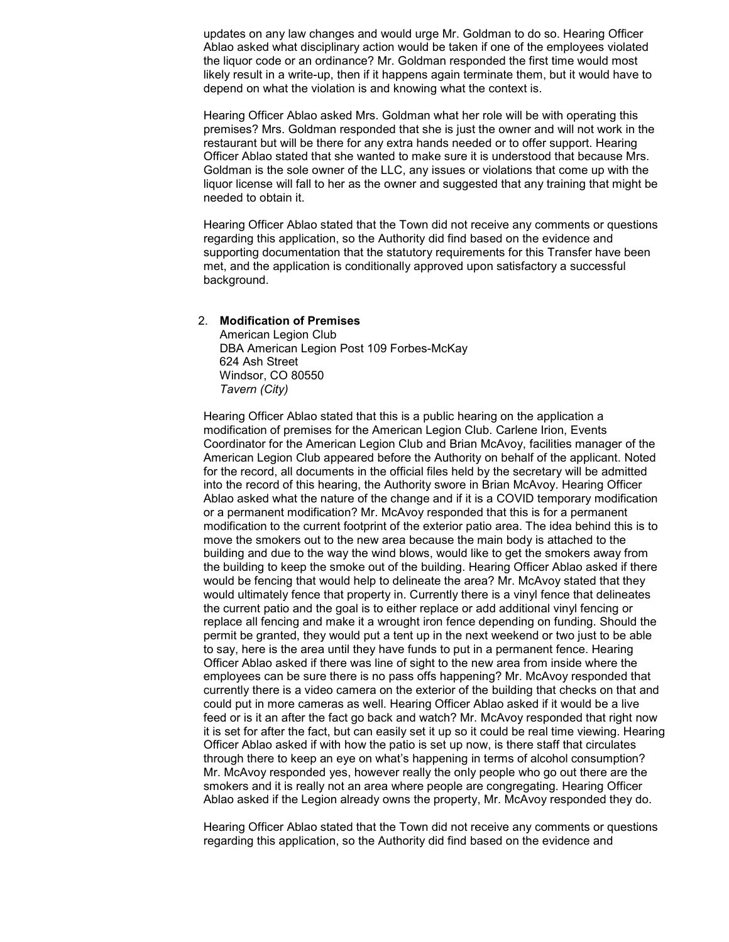updates on any law changes and would urge Mr. Goldman to do so. Hearing Officer Ablao asked what disciplinary action would be taken if one of the employees violated the liquor code or an ordinance? Mr. Goldman responded the first time would most likely result in a write-up, then if it happens again terminate them, but it would have to depend on what the violation is and knowing what the context is.

Hearing Officer Ablao asked Mrs. Goldman what her role will be with operating this premises? Mrs. Goldman responded that she is just the owner and will not work in the restaurant but will be there for any extra hands needed or to offer support. Hearing Officer Ablao stated that she wanted to make sure it is understood that because Mrs. Goldman is the sole owner of the LLC, any issues or violations that come up with the liquor license will fall to her as the owner and suggested that any training that might be needed to obtain it.

Hearing Officer Ablao stated that the Town did not receive any comments or questions regarding this application, so the Authority did find based on the evidence and supporting documentation that the statutory requirements for this Transfer have been met, and the application is conditionally approved upon satisfactory a successful background.

#### 2. **Modification of Premises**

American Legion Club DBA American Legion Post 109 Forbes-McKay 624 Ash Street Windsor, CO 80550 *Tavern (City)*

Hearing Officer Ablao stated that this is a public hearing on the application a modification of premises for the American Legion Club. Carlene Irion, Events Coordinator for the American Legion Club and Brian McAvoy, facilities manager of the American Legion Club appeared before the Authority on behalf of the applicant. Noted for the record, all documents in the official files held by the secretary will be admitted into the record of this hearing, the Authority swore in Brian McAvoy. Hearing Officer Ablao asked what the nature of the change and if it is a COVID temporary modification or a permanent modification? Mr. McAvoy responded that this is for a permanent modification to the current footprint of the exterior patio area. The idea behind this is to move the smokers out to the new area because the main body is attached to the building and due to the way the wind blows, would like to get the smokers away from the building to keep the smoke out of the building. Hearing Officer Ablao asked if there would be fencing that would help to delineate the area? Mr. McAvoy stated that they would ultimately fence that property in. Currently there is a vinyl fence that delineates the current patio and the goal is to either replace or add additional vinyl fencing or replace all fencing and make it a wrought iron fence depending on funding. Should the permit be granted, they would put a tent up in the next weekend or two just to be able to say, here is the area until they have funds to put in a permanent fence. Hearing Officer Ablao asked if there was line of sight to the new area from inside where the employees can be sure there is no pass offs happening? Mr. McAvoy responded that currently there is a video camera on the exterior of the building that checks on that and could put in more cameras as well. Hearing Officer Ablao asked if it would be a live feed or is it an after the fact go back and watch? Mr. McAvoy responded that right now it is set for after the fact, but can easily set it up so it could be real time viewing. Hearing Officer Ablao asked if with how the patio is set up now, is there staff that circulates through there to keep an eye on what's happening in terms of alcohol consumption? Mr. McAvoy responded yes, however really the only people who go out there are the smokers and it is really not an area where people are congregating. Hearing Officer Ablao asked if the Legion already owns the property, Mr. McAvoy responded they do.

Hearing Officer Ablao stated that the Town did not receive any comments or questions regarding this application, so the Authority did find based on the evidence and